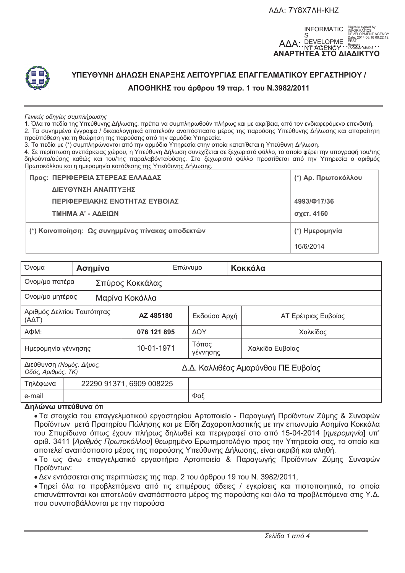**ΑΔΑ: 7Υ8Χ7ΛΗ-ΚΗΖ** 





# ΥΠΕΥΘΥΝΗ ΔΗΛΩΣΗ ΕΝΑΡΞΗΣ ΛΕΙΤΟΥΡΓΙΑΣ ΕΠΑΓΓΕΛΜΑΤΙΚΟΥ ΕΡΓΑΣΤΗΡΙΟΥ / **ΑΠΟΘΗΚΗΣ του άρθρου 19 παρ. 1 του Ν.3982/2011**

#### *Γενικές οδηγίες συμπλήρωσης*

1. Όλα τα πεδία της Υπεύθυνης Δήλωσης, πρέπει να συμπληρωθούν πλήρως και με ακρίβεια, από τον ενδιαφερόμενο επενδυτή. 2. Τα συνημμένα έγγραφα / δικαιολογητικά αποτελούν αναπόσπαστο μέρος της παρούσης Υπεύθυνης Δήλωσης και απαραίτητη προϋπόθεση για τη θεώρηση της παρούσης από την αρμόδια Υπηρεσία.

3. Τα πεδία με (\*) συμπληρώνονται από την αρμόδια Υπηρεσία στην οποία κατατίθεται η Υπεύθυνη Δήλωση.

4. Σε περίπτωση ανεπάρκειας χώρου, η Υπεύθυνη Δήλωση συνεχίζεται σε ξεχωριστό φύλλο, το οποίο φέρει την υπογραφή του/της δηλούντα/ούσης καθώς και του/της παραλαβόντα/ούσης. Στο ξεχωριστό φύλλο προστίθεται από την Υπηρεσία ο αριθμός Πρωτοκόλλου και η ημερομηνία κατάθεσης της Υπεύθυνης Δήλωσης.

| Προς: ΠΕΡΙΦΕΡΕΙΑ ΣΤΕΡΕΑΣ ΕΛΛΑΔΑΣ                 | (*) Αρ. Πρωτοκόλλου |
|--------------------------------------------------|---------------------|
| ΔΙΕΥΘΥΝΣΗ ΑΝΑΠΤΥΞΗΣ                              |                     |
| ΠΕΡΙΦΕΡΕΙΑΚΗΣ ΕΝΟΤΗΤΑΣ ΕΥΒΟΙΑΣ                   | 4993/017/36         |
| ΤΜΗΜΑ Α' - ΑΔΕΙΩΝ                                | σχετ. 4160          |
| (*) Κοινοποίηση: Ως συνημμένος πίνακας αποδεκτών | (*) Ημερομηνία      |
|                                                  | 16/6/2014           |

| Όνομα                                          | Ασημίνα                  |                                     |     | Επώνυμο           | Κοκκάλα |                     |  |
|------------------------------------------------|--------------------------|-------------------------------------|-----|-------------------|---------|---------------------|--|
| Ονομ/μο πατέρα                                 |                          | Σπύρος Κοκκάλας                     |     |                   |         |                     |  |
| Ονομ/μο μητέρας                                |                          | Μαρίνα Κοκάλλα                      |     |                   |         |                     |  |
| Αριθμός Δελτίου Ταυτότητας<br>$(A\Delta T)$    |                          | AZ 485180                           |     | Εκδούσα Αρχή      |         | ΑΤ Ερέτριας Ευβοίας |  |
| АФМ:                                           |                          | 076 121 895                         |     | <b>AOY</b>        |         | Χαλκίδος            |  |
| Ημερομηνία γέννησης                            |                          | 10-01-1971                          |     | Τόπος<br>γέννησης |         | Χαλκίδα Ευβοίας     |  |
| Διεύθυνση (Νομός, Δήμος,<br>Οδός, Αριθμός, ΤΚ) |                          | Δ.Δ. Καλλιθέας Αμαρύνθου ΠΕ Ευβοίας |     |                   |         |                     |  |
| Τηλέφωνα                                       | 22290 91371, 6909 008225 |                                     |     |                   |         |                     |  |
| e-mail                                         |                          |                                     | Φαξ |                   |         |                     |  |

#### **Δηλώνω υπεύθυνα** ότι

• Τα στοιχεία του επαγγελματικού εργαστηρίου Αρτοποιείο - Παραγωγή Προϊόντων Ζύμης & Συναφών Προϊόντων μετά Πρατηρίου Πώλησης και με Είδη Ζαχαροπλαστικής με την επωνυμία Ασημίνα Κοκκάλα του Σπυρίδωνα όπως έχουν πλήρως δηλωθεί και περιγραφεί στο από 15-04-2014 [*ημερομηνία*] υπ' αριθ. 3411 [*Αριθμός Πρωτοκόλλου*] θεωρημένο Ερωτηματολόγιο προς την Υπηρεσία σας, το οποίο και αποτελεί αναπόσπαστο μέρος της παρούσης Υπεύθυνης Δήλωσης, είναι ακριβή και αληθή.

• Το ως άνω επαγγελματικό εργαστήριο Αρτοποιείο & Παραγωγής Προϊόντων Ζύμης Συναφών Προϊόντων:

• Δεν εντάσσεται στις περιπτώσεις της παρ. 2 του άρθρου 19 του Ν. 3982/2011,

· Τηρεί όλα τα προβλεπόμενα από τις επιμέρους άδειες / εγκρίσεις και πιστοποιητικά, τα οποία επισυνάπτονται και αποτελούν αναπόσπαστο μέρος της παρούσης και όλα τα προβλεπόμενα στις Υ.Δ. που συνυποβάλλονται με την παρούσα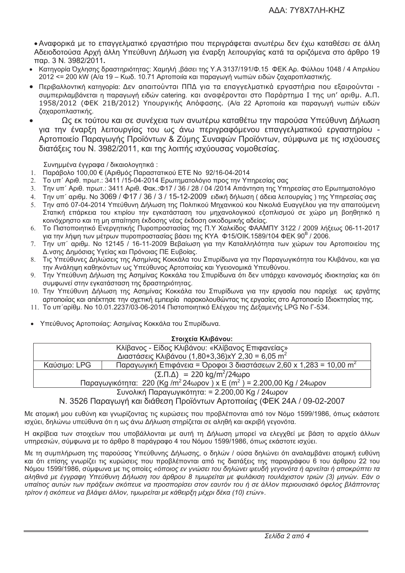• Αναφορικά με το επαγγελματικό εργαστήριο που περιγράφεται ανωτέρω δεν έχω καταθέσει σε άλλη Αδειοδοτούσα Αρχή άλλη Υπεύθυνη Δήλωση για έναρξη λειτουργίας κατά τα οριζόμενα στο άρθρο 19 παρ. 3 Ν. 3982/2011.

- Κατηγορία Όχλησης δραστηριότητας: Χαμηλή ,βάσει της Υ.Α 3137/191/Φ.15 ΦΕΚ Αρ. Φύλλου 1048 / 4 Απριλίου 2012 <= 200 kW (Α/α 19 – Κωδ. 10.71 Αρτοποιία και παραγωγή νωπών ειδών ζαχαροπλαστικής.
- Περιβαλλοντική κατηγορία: Δεν απαιτούνται ΠΠΔ για τα επαγγελματικά εργαστήρια που εξαιρούνται συμπεριλαμβάνεται η παραγωγή ειδών catering, και αναφέρονται στο Παράρτημα I της υπ' αριθμ. Α.Π. 1958/2012 (ΦΕΚ 21Β/2012) Υπουργικής Απόφασης. (Α/α 22 Αρτοποιία και παραγωγή νωπών ειδών ζαχαροπλαστικής.
- Ως εκ τούτου και σε συνέχεια των ανωτέρω καταθέτω την παρούσα Υπεύθυνη Δήλωση για την έναρξη λειτουργίας του ως άνω περιγραφόμενου επαγγελματικού εργαστηρίου -Αρτοποιείο Παραγωγής Προϊόντων & Ζύμης Συναφών Προϊόντων, σύμφωνα με τις ισχύουσες διατάξεις του Ν. 3982/2011, και της λοιπής ισχύουσας νομοθεσίας.

Συνημμένα έγγραφα / δικαιολογητικά :

- Παράβολο 100,00 € (Αριθμός Παραστατικού ΕΤΕ Νο 92/16-04-2014  $1<sup>1</sup>$
- Το υπ΄ Αριθ. πρωτ.: 3411 /15-04-2014 Ερωτηματολόγιο προς την Υπηρεσίας σας  $2^{\circ}$
- Την υπ΄ Αριθ. πρωτ.: 3411 Αριθ. Φακ.:Φ17 / 36 / 28 / 04 /2014 Απάντηση της Υπηρεσίας στο Ερωτηματολόγιο  $3<sub>1</sub>$
- $4<sup>1</sup>$ Την υπ΄ αριθμ. Νο 3069 / Φ17 / 36 / 3 / 15-12-2009 ειδική δήλωση (άδεια λειτουργίας) της Υπηρεσίας σας
- Την από 07-04-2014 Υπεύθυνη Δήλωση της Πολιτικού Μηχανικού κου Νικολιά Ευαγγέλου για την απαιτούμενη  $5<sub>1</sub>$ Στατική επάρκεια του κτιρίου την ενκατάσταση του μηχανολονικού εξοπλισμού σε χώρο μη βοηθητικό η κοινόχρηστο και τη μη απαίτηση έκδοσης νέας έκδοση οικοδομικής αδείας.
- Το Πιστοποιητικό Ενεργητικής Πυροπροστασίας της Π.Υ Χαλκίδος ΦΑΑΜΠΥ 3122 / 2009 λήξεως 06-11-2017  $6<sup>1</sup>$ νια την λήψη των μέτρων πυροπροστασίας βάσει της ΚΥΑ Φ15/ΟΙΚ.1589/104 ΦΕΚ 90<sup>B</sup> / 2006.
- Την υπ΄ αριθμ. Νο 12145 / 16-11-2009 Βεβαίωση για την Καταλληλότητα των χώρων του Αρτοποιείου της  $7.$ Δ. νσης Δημόσιας Υγείας και Πρόνοιας ΠΕ Ευβοίας.
- Τις Υπεύθυνες Δηλώσεις της Ασημίνας Κοκκάλα του Σπυρίδωνα νια την Παρανωνικότητα του Κλιβάνου, και νια  $8<sup>1</sup>$ την Ανάληψη καθηκόντων ως Υπεύθυνος Αρτοποιίας και Υνειονομικά Υπευθύνου.
- $9<sub>1</sub>$ Την Υπεύθυνη Δήλωση της Ασημίνας Κοκκάλα του Σπυρίδωνα ότι δεν υπάρχει κανονισμός ιδιοκτησίας και ότι συμφωνεί στην εγκατάσταση της δραστηριότητας.
- 10. Την Υπεύθυνη Δήλωση της Ασημίνας Κοκκάλα του Σπυρίδωνα για την εργασία που παρείχε ως εργάτης αρτοποιίας και απέκτησε την σχετική εμπειρία παρακολουθώντας τις εργασίες στο Αρτοποιείο Ιδιοκτησίας της.
- 11. Το υπ'αρίθμ. Νο 10.01.2237/03-06-2014 Πιστοποιητικό Ελέγχου της Δεξαμενής LPG No Γ-534.
- Υπεύθυνος Αρτοποιίας: Ασημίνας Κοκκάλα του Σπυρίδωνα.

| Στοιχεία Κλιβάνου:                                                                            |                                                                                |  |  |  |  |
|-----------------------------------------------------------------------------------------------|--------------------------------------------------------------------------------|--|--|--|--|
| Κλίβανος - Είδος Κλιβάνου: «Κλίβανος Επιφανείας»                                              |                                                                                |  |  |  |  |
| Διαστάσεις Κλιβάνου (1,80+3,36) x 2,30 = 6,05 m <sup>2</sup>                                  |                                                                                |  |  |  |  |
| Καύσιμο: LPG                                                                                  | Παραγωγική Επιφάνεια = Όροφοι 3 διαστάσεων 2,60 x 1,283 = 10,00 m <sup>2</sup> |  |  |  |  |
| $(\Sigma \cdot \Pi \cdot \Delta)$ = 220 kg/m <sup>2</sup> /24ωpo                              |                                                                                |  |  |  |  |
| Παραγωγικότητα: 220 (Kg /m <sup>2</sup> 24ωρον ) x E (m <sup>2</sup> ) = 2.200,00 Kg / 24ωρον |                                                                                |  |  |  |  |
| $\sum_{i=1}^{n} a_i$                                                                          |                                                                                |  |  |  |  |

Συνολική Παραγωγικότητα: = 2.200,00 Kg / 24ωρον

Ν. 3526 Παρανωνή και διάθεση Προϊόντων Αρτοποιίας (ΦΕΚ 24Α / 09-02-2007

Με ατομική μου ευθύνη και γνωρίζοντας τις κυρώσεις που προβλέπονται από τον Νόμο 1599/1986, όπως εκάστοτε ισχύει, δηλώνω υπεύθυνα ότι η ως άνω Δήλωση στηρίζεται σε αληθή και ακριβή γεγονότα.

Η ακρίβεια των στοιχείων που υποβάλλονται με αυτή τη Δήλωση μπορεί να ελεγχθεί με βάση το αρχείο άλλων υπηρεσιών, σύμφωνα με το άρθρο 8 παράγραφο 4 του Νόμου 1599/1986, όπως εκάστοτε ισχύει.

Με τη συμπλήρωση της παρούσας Υπεύθυνης Δήλωσης, ο δηλών / ούσα δηλώνει ότι αναλαμβάνει ατομική ευθύνη και ότι επίσης γνωρίζει τις κυρώσεις που προβλέπονται από τις διατάξεις της παραγράφου 6 του άρθρου 22 του Νόμου 1599/1986, σύμφωνα με τις οποίες «όποιος εν γνώσει του δηλώνει ψευδή γεγονότα ή αρνείται ή αποκρύπτει τα αληθινά με έγγραφη Υπεύθυνη Δήλωση του άρθρου 8 τιμωρείται με φυλάκιση τουλάχιστον τριών (3) μηνών. Εάν ο υπαίτιος αυτών των πράξεων σκόπευε να προσπορίσει στον εαυτόν του ή σε άλλον περιουσιακό όφελος βλάπτοντας τρίτον ή σκόπευε να βλάψει άλλον, τιμωρείται με κάθειρξη μέχρι δέκα (10) ετών».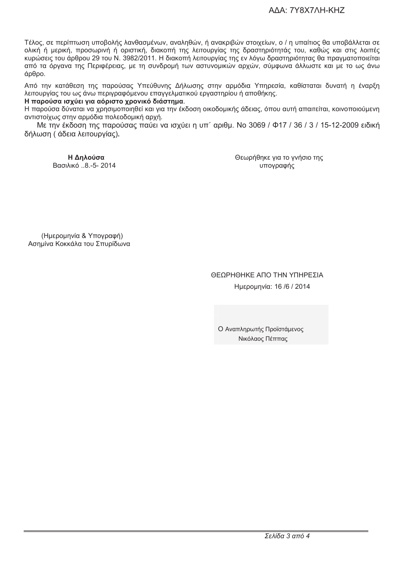Τέλος, σε περίπτωση υποβολής λανθασμένων, αναληθών, ή ανακριβών στοιχείων, ο / η υπαίτιος θα υποβάλλεται σε ολική ή μερική, προσωρινή ή οριστική, διακοπή της λειτουργίας της δραστηριότητάς του, καθώς και στις λοιπές κυρώσεις του άρθρου 29 του Ν. 3982/2011. Η διακοπή λειτουργίας της εν λόγω δραστηριότητας θα πραγματοποιείται από τα όργανα της Περιφέρειας, με τη συνδρομή των αστυνομικών αρχών, σύμφωνα άλλωστε και με το ως άνω άρθρο.

Από την κατάθεση της παρούσας Υπεύθυνης Δήλωσης στην αρμόδια Υπηρεσία, καθίσταται δυνατή η έναρξη λειτουργίας του ως άνω περιγραφόμενου επαγγελματικού εργαστηρίου ή αποθήκης.

### Η παρούσα ισχύει για αόριστο χρονικό διάστημα.

Η παρούσα δύναται να χρησιμοποιηθεί και για την έκδοση οικοδομικής άδειας, όπου αυτή απαιτείται, κοινοποιούμενη αντιστοίχως στην αρμόδια πολεοδομική αρχή.

Με την έκδοση της παρούσας παύει να ισχύει η υπ΄ αριθμ. Νο 3069 / Φ17 / 36 / 3 / 15-12-2009 ειδική δήλωση (άδεια λειτουρνίας).

Η Δηλούσα Βασιλικό ..8.-5-2014 Θεωρήθηκε για το γνήσιο της υπογραφής

(Ημερομηνία & Υπογραφή) Ασημίνα Κοκκάλα του Σπυρίδωνα

## ΘΕΩΡΗΘΗΚΕ ΑΠΟ ΤΗΝ ΥΠΗΡΕΣΙΑ Ημερομηνία: 16 /6 / 2014

Ο Αναπληρωτής Προϊστάμενος Νικόλαος Πέππας